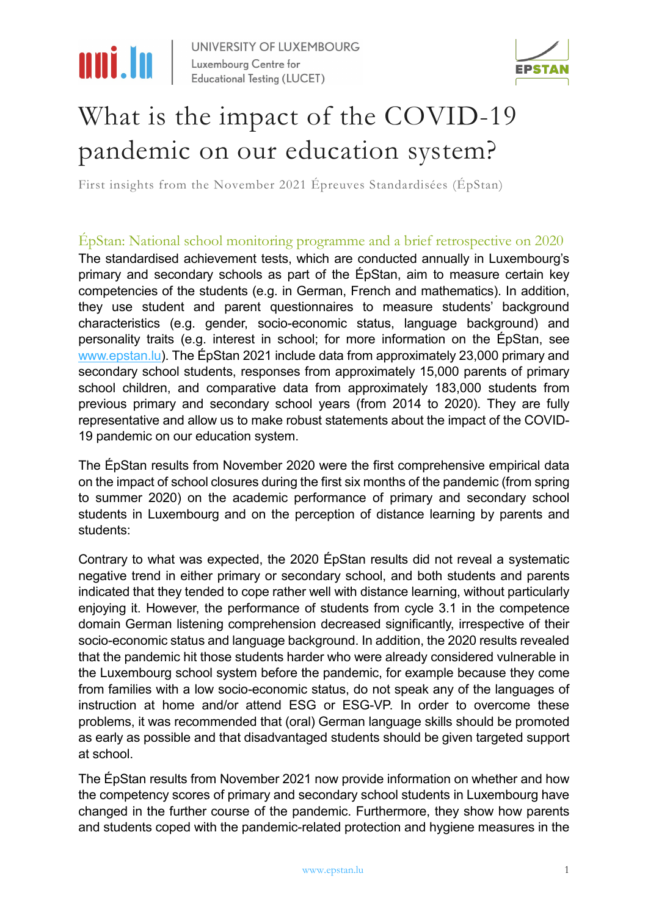

UNIVERSITY OF LUXEMBOURG Luxembourg Centre for **Educational Testing (LUCET)** 



### What is the impact of the COVID-19 pandemic on our education system?

First insights from the November 2021 Épreuves Standardisées (ÉpStan)

ÉpStan: National school monitoring programme and a brief retrospective on 2020 The standardised achievement tests, which are conducted annually in Luxembourg's primary and secondary schools as part of the ÉpStan, aim to measure certain key competencies of the students (e.g. in German, French and mathematics). In addition, they use student and parent questionnaires to measure students' background characteristics (e.g. gender, socio-economic status, language background) and personality traits (e.g. interest in school; for more information on the ÉpStan, see [www.epstan.lu\)](http://www.epstan.lu/). The ÉpStan 2021 include data from approximately 23,000 primary and secondary school students, responses from approximately 15,000 parents of primary school children, and comparative data from approximately 183,000 students from previous primary and secondary school years (from 2014 to 2020). They are fully representative and allow us to make robust statements about the impact of the COVID-19 pandemic on our education system.

The ÉpStan results from November 2020 were the first comprehensive empirical data on the impact of school closures during the first six months of the pandemic (from spring to summer 2020) on the academic performance of primary and secondary school students in Luxembourg and on the perception of distance learning by parents and students:

Contrary to what was expected, the 2020 ÉpStan results did not reveal a systematic negative trend in either primary or secondary school, and both students and parents indicated that they tended to cope rather well with distance learning, without particularly enjoying it. However, the performance of students from cycle 3.1 in the competence domain German listening comprehension decreased significantly, irrespective of their socio-economic status and language background. In addition, the 2020 results revealed that the pandemic hit those students harder who were already considered vulnerable in the Luxembourg school system before the pandemic, for example because they come from families with a low socio-economic status, do not speak any of the languages of instruction at home and/or attend ESG or ESG-VP. In order to overcome these problems, it was recommended that (oral) German language skills should be promoted as early as possible and that disadvantaged students should be given targeted support at school.

The ÉpStan results from November 2021 now provide information on whether and how the competency scores of primary and secondary school students in Luxembourg have changed in the further course of the pandemic. Furthermore, they show how parents and students coped with the pandemic-related protection and hygiene measures in the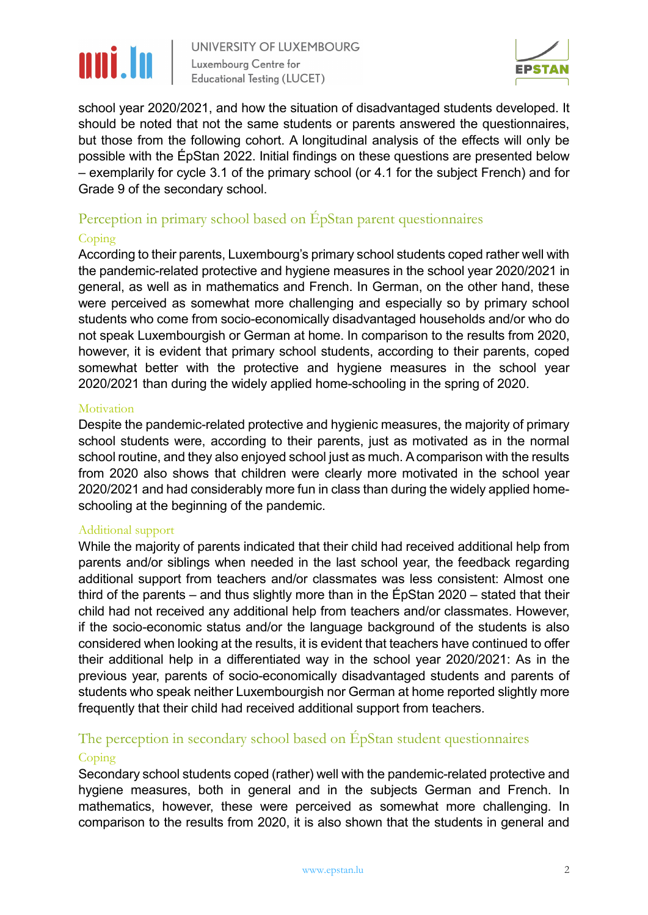

UNIVERSITY OF LUXEMBOURG Luxembourg Centre for **Educational Testing (LUCET)** 



school year 2020/2021, and how the situation of disadvantaged students developed. It should be noted that not the same students or parents answered the questionnaires, but those from the following cohort. A longitudinal analysis of the effects will only be possible with the ÉpStan 2022. Initial findings on these questions are presented below – exemplarily for cycle 3.1 of the primary school (or 4.1 for the subject French) and for Grade 9 of the secondary school.

#### Perception in primary school based on ÉpStan parent questionnaires

#### Coping

According to their parents, Luxembourg's primary school students coped rather well with the pandemic-related protective and hygiene measures in the school year 2020/2021 in general, as well as in mathematics and French. In German, on the other hand, these were perceived as somewhat more challenging and especially so by primary school students who come from socio-economically disadvantaged households and/or who do not speak Luxembourgish or German at home. In comparison to the results from 2020, however, it is evident that primary school students, according to their parents, coped somewhat better with the protective and hygiene measures in the school year 2020/2021 than during the widely applied home-schooling in the spring of 2020.

#### Motivation

Despite the pandemic-related protective and hygienic measures, the majority of primary school students were, according to their parents, just as motivated as in the normal school routine, and they also enjoyed school just as much. Acomparison with the results from 2020 also shows that children were clearly more motivated in the school year 2020/2021 and had considerably more fun in class than during the widely applied homeschooling at the beginning of the pandemic.

#### Additional support

While the majority of parents indicated that their child had received additional help from parents and/or siblings when needed in the last school year, the feedback regarding additional support from teachers and/or classmates was less consistent: Almost one third of the parents – and thus slightly more than in the ÉpStan 2020 – stated that their child had not received any additional help from teachers and/or classmates. However, if the socio-economic status and/or the language background of the students is also considered when looking at the results, it is evident that teachers have continued to offer their additional help in a differentiated way in the school year 2020/2021: As in the previous year, parents of socio-economically disadvantaged students and parents of students who speak neither Luxembourgish nor German at home reported slightly more frequently that their child had received additional support from teachers.

### The perception in secondary school based on ÉpStan student questionnaires

#### Coping

Secondary school students coped (rather) well with the pandemic-related protective and hygiene measures, both in general and in the subjects German and French. In mathematics, however, these were perceived as somewhat more challenging. In comparison to the results from 2020, it is also shown that the students in general and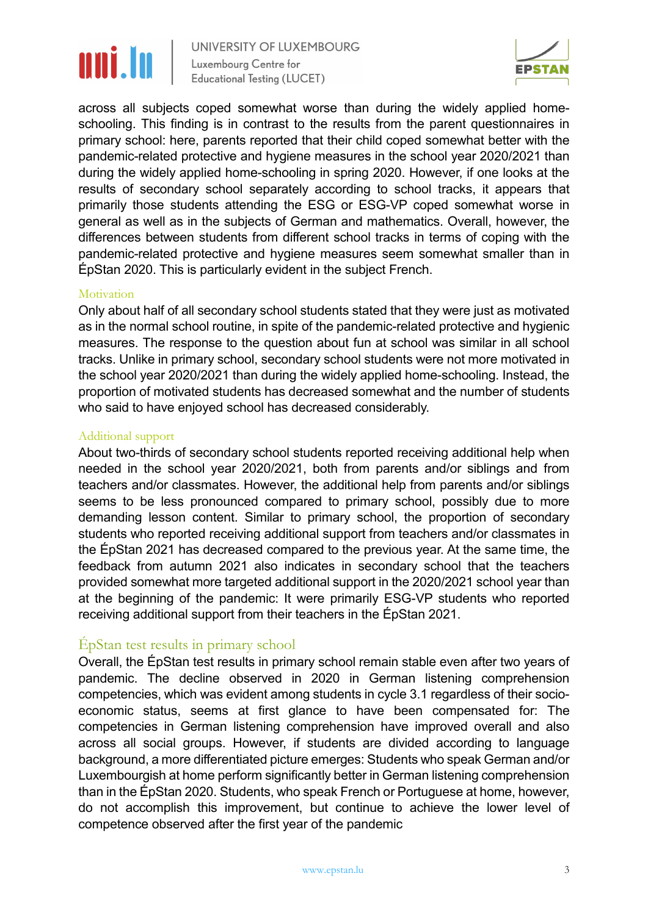# nni.In

UNIVERSITY OF LUXEMBOURG Luxembourg Centre for **Educational Testing (LUCET)** 



across all subjects coped somewhat worse than during the widely applied homeschooling. This finding is in contrast to the results from the parent questionnaires in primary school: here, parents reported that their child coped somewhat better with the pandemic-related protective and hygiene measures in the school year 2020/2021 than during the widely applied home-schooling in spring 2020. However, if one looks at the results of secondary school separately according to school tracks, it appears that primarily those students attending the ESG or ESG-VP coped somewhat worse in general as well as in the subjects of German and mathematics. Overall, however, the differences between students from different school tracks in terms of coping with the pandemic-related protective and hygiene measures seem somewhat smaller than in ÉpStan 2020. This is particularly evident in the subject French.

#### **Motivation**

Only about half of all secondary school students stated that they were just as motivated as in the normal school routine, in spite of the pandemic-related protective and hygienic measures. The response to the question about fun at school was similar in all school tracks. Unlike in primary school, secondary school students were not more motivated in the school year 2020/2021 than during the widely applied home-schooling. Instead, the proportion of motivated students has decreased somewhat and the number of students who said to have enjoyed school has decreased considerably.

#### Additional support

About two-thirds of secondary school students reported receiving additional help when needed in the school year 2020/2021, both from parents and/or siblings and from teachers and/or classmates. However, the additional help from parents and/or siblings seems to be less pronounced compared to primary school, possibly due to more demanding lesson content. Similar to primary school, the proportion of secondary students who reported receiving additional support from teachers and/or classmates in the ÉpStan 2021 has decreased compared to the previous year. At the same time, the feedback from autumn 2021 also indicates in secondary school that the teachers provided somewhat more targeted additional support in the 2020/2021 school year than at the beginning of the pandemic: It were primarily ESG-VP students who reported receiving additional support from their teachers in the ÉpStan 2021.

#### ÉpStan test results in primary school

Overall, the ÉpStan test results in primary school remain stable even after two years of pandemic. The decline observed in 2020 in German listening comprehension competencies, which was evident among students in cycle 3.1 regardless of their socioeconomic status, seems at first glance to have been compensated for: The competencies in German listening comprehension have improved overall and also across all social groups. However, if students are divided according to language background, a more differentiated picture emerges: Students who speak German and/or Luxembourgish at home perform significantly better in German listening comprehension than in the ÉpStan 2020. Students, who speak French or Portuguese at home, however, do not accomplish this improvement, but continue to achieve the lower level of competence observed after the first year of the pandemic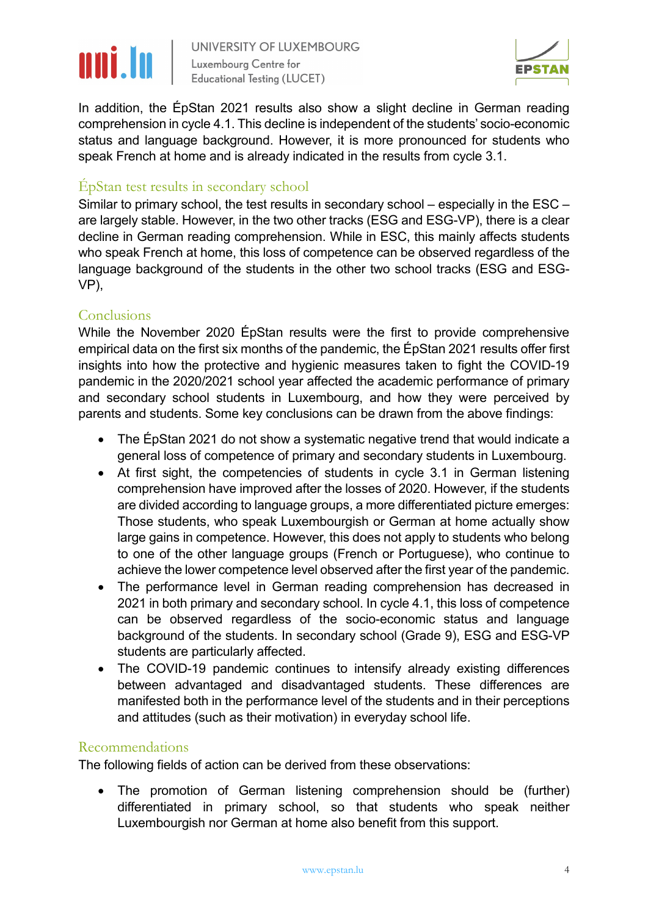# nni.In

UNIVERSITY OF LUXEMBOURG Luxembourg Centre for **Educational Testing (LUCET)** 



In addition, the ÉpStan 2021 results also show a slight decline in German reading comprehension in cycle 4.1. This decline is independent of the students' socio-economic status and language background. However, it is more pronounced for students who speak French at home and is already indicated in the results from cycle 3.1.

#### ÉpStan test results in secondary school

Similar to primary school, the test results in secondary school – especially in the ESC – are largely stable. However, in the two other tracks (ESG and ESG-VP), there is a clear decline in German reading comprehension. While in ESC, this mainly affects students who speak French at home, this loss of competence can be observed regardless of the language background of the students in the other two school tracks (ESG and ESG-VP),

#### Conclusions

While the November 2020 ÉpStan results were the first to provide comprehensive empirical data on the first six months of the pandemic, the ÉpStan 2021 results offer first insights into how the protective and hygienic measures taken to fight the COVID-19 pandemic in the 2020/2021 school year affected the academic performance of primary and secondary school students in Luxembourg, and how they were perceived by parents and students. Some key conclusions can be drawn from the above findings:

- The ÉpStan 2021 do not show a systematic negative trend that would indicate a general loss of competence of primary and secondary students in Luxembourg.
- At first sight, the competencies of students in cycle 3.1 in German listening comprehension have improved after the losses of 2020. However, if the students are divided according to language groups, a more differentiated picture emerges: Those students, who speak Luxembourgish or German at home actually show large gains in competence. However, this does not apply to students who belong to one of the other language groups (French or Portuguese), who continue to achieve the lower competence level observed after the first year of the pandemic.
- The performance level in German reading comprehension has decreased in 2021 in both primary and secondary school. In cycle 4.1, this loss of competence can be observed regardless of the socio-economic status and language background of the students. In secondary school (Grade 9), ESG and ESG-VP students are particularly affected.
- The COVID-19 pandemic continues to intensify already existing differences between advantaged and disadvantaged students. These differences are manifested both in the performance level of the students and in their perceptions and attitudes (such as their motivation) in everyday school life.

#### Recommendations

The following fields of action can be derived from these observations:

The promotion of German listening comprehension should be (further) differentiated in primary school, so that students who speak neither Luxembourgish nor German at home also benefit from this support.